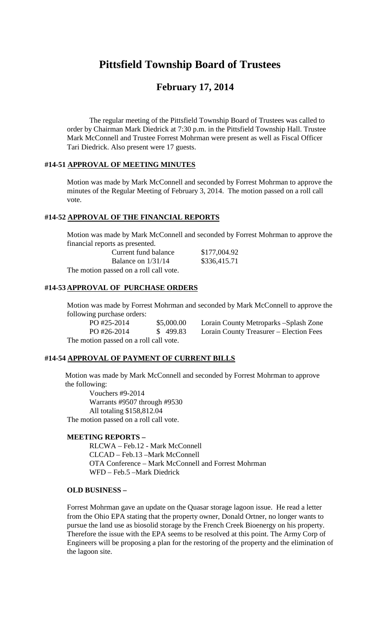# **Pittsfield Township Board of Trustees**

# **February 17, 2014**

The regular meeting of the Pittsfield Township Board of Trustees was called to order by Chairman Mark Diedrick at 7:30 p.m. in the Pittsfield Township Hall. Trustee Mark McConnell and Trustee Forrest Mohrman were present as well as Fiscal Officer Tari Diedrick. Also present were 17 guests.

#### **#14-51 APPROVAL OF MEETING MINUTES**

Motion was made by Mark McConnell and seconded by Forrest Mohrman to approve the minutes of the Regular Meeting of February 3, 2014. The motion passed on a roll call vote.

#### **#14-52 APPROVAL OF THE FINANCIAL REPORTS**

Motion was made by Mark McConnell and seconded by Forrest Mohrman to approve the financial reports as presented.

| Current fund balance                   | \$177,004.92 |
|----------------------------------------|--------------|
| Balance on $1/31/14$                   | \$336,415.71 |
| The motion passed on a roll call vote. |              |

#### **#14-53 APPROVAL OF PURCHASE ORDERS**

Motion was made by Forrest Mohrman and seconded by Mark McConnell to approve the following purchase orders:

PO #25-2014 \$5,000.00 Lorain County Metroparks –Splash Zone PO #26-2014 \$ 499.83 Lorain County Treasurer – Election Fees The motion passed on a roll call vote.

#### **#14-54 APPROVAL OF PAYMENT OF CURRENT BILLS**

Motion was made by Mark McConnell and seconded by Forrest Mohrman to approve the following:

Vouchers #9-2014 Warrants #9507 through #9530 All totaling \$158,812.04 The motion passed on a roll call vote.

#### **MEETING REPORTS –**

RLCWA – Feb.12 - Mark McConnell CLCAD – Feb.13 –Mark McConnell OTA Conference – Mark McConnell and Forrest Mohrman WFD – Feb.5 –Mark Diedrick

## **OLD BUSINESS –**

Forrest Mohrman gave an update on the Quasar storage lagoon issue. He read a letter from the Ohio EPA stating that the property owner, Donald Ortner, no longer wants to pursue the land use as biosolid storage by the French Creek Bioenergy on his property. Therefore the issue with the EPA seems to be resolved at this point. The Army Corp of Engineers will be proposing a plan for the restoring of the property and the elimination of the lagoon site.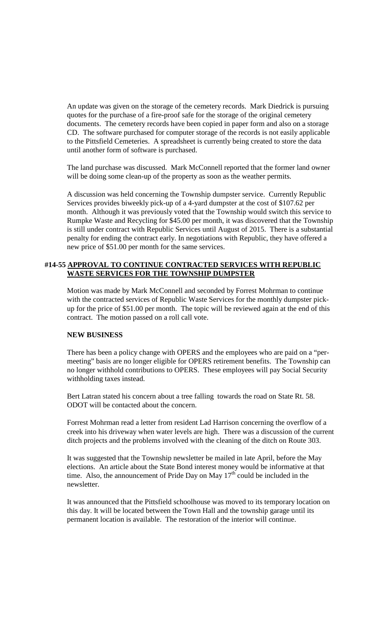An update was given on the storage of the cemetery records. Mark Diedrick is pursuing quotes for the purchase of a fire-proof safe for the storage of the original cemetery documents. The cemetery records have been copied in paper form and also on a storage CD. The software purchased for computer storage of the records is not easily applicable to the Pittsfield Cemeteries. A spreadsheet is currently being created to store the data until another form of software is purchased.

The land purchase was discussed. Mark McConnell reported that the former land owner will be doing some clean-up of the property as soon as the weather permits.

A discussion was held concerning the Township dumpster service. Currently Republic Services provides biweekly pick-up of a 4-yard dumpster at the cost of \$107.62 per month. Although it was previously voted that the Township would switch this service to Rumpke Waste and Recycling for \$45.00 per month, it was discovered that the Township is still under contract with Republic Services until August of 2015. There is a substantial penalty for ending the contract early. In negotiations with Republic, they have offered a new price of \$51.00 per month for the same services.

## **#14-55 APPROVAL TO CONTINUE CONTRACTED SERVICES WITH REPUBLIC WASTE SERVICES FOR THE TOWNSHIP DUMPSTER**

Motion was made by Mark McConnell and seconded by Forrest Mohrman to continue with the contracted services of Republic Waste Services for the monthly dumpster pickup for the price of \$51.00 per month. The topic will be reviewed again at the end of this contract. The motion passed on a roll call vote.

#### **NEW BUSINESS**

There has been a policy change with OPERS and the employees who are paid on a "permeeting" basis are no longer eligible for OPERS retirement benefits. The Township can no longer withhold contributions to OPERS. These employees will pay Social Security withholding taxes instead.

Bert Latran stated his concern about a tree falling towards the road on State Rt. 58. ODOT will be contacted about the concern.

Forrest Mohrman read a letter from resident Lad Harrison concerning the overflow of a creek into his driveway when water levels are high. There was a discussion of the current ditch projects and the problems involved with the cleaning of the ditch on Route 303.

It was suggested that the Township newsletter be mailed in late April, before the May elections. An article about the State Bond interest money would be informative at that time. Also, the announcement of Pride Day on May  $17<sup>th</sup>$  could be included in the newsletter.

It was announced that the Pittsfield schoolhouse was moved to its temporary location on this day. It will be located between the Town Hall and the township garage until its permanent location is available. The restoration of the interior will continue.